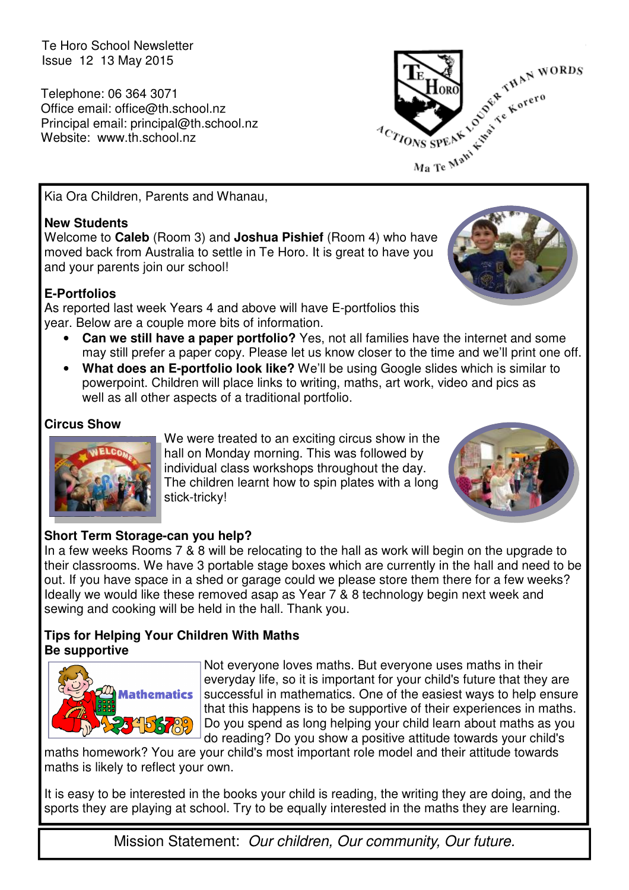Te Horo School Newsletter Issue 12 13 May 2015

Telephone: 06 364 3071 Office email: office@th.school.nz Principal email: principal@th.school.nz Website: www.th.school.nz



Kia Ora Children, Parents and Whanau,

### **New Students**

Welcome to **Caleb** (Room 3) and **Joshua Pishief** (Room 4) who have moved back from Australia to settle in Te Horo. It is great to have you and your parents join our school!

### **E-Portfolios**

As reported last week Years 4 and above will have E-portfolios this year. Below are a couple more bits of information.

- **Can we still have a paper portfolio?** Yes, not all families have the internet and some may still prefer a paper copy. Please let us know closer to the time and we'll print one off.
- **What does an E-portfolio look like?** We'll be using Google slides which is similar to powerpoint. Children will place links to writing, maths, art work, video and pics as well as all other aspects of a traditional portfolio.

### **Circus Show**



We were treated to an exciting circus show in the hall on Monday morning. This was followed by individual class workshops throughout the day. The children learnt how to spin plates with a long stick-tricky!



### **Short Term Storage-can you help?**

In a few weeks Rooms 7 & 8 will be relocating to the hall as work will begin on the upgrade to their classrooms. We have 3 portable stage boxes which are currently in the hall and need to be out. If you have space in a shed or garage could we please store them there for a few weeks? Ideally we would like these removed asap as Year 7 & 8 technology begin next week and sewing and cooking will be held in the hall. Thank you.

### **Tips for Helping Your Children With Maths Be supportive**



Not everyone loves maths. But everyone uses maths in their everyday life, so it is important for your child's future that they are successful in mathematics. One of the easiest ways to help ensure that this happens is to be supportive of their experiences in maths. Do you spend as long helping your child learn about maths as you do reading? Do you show a positive attitude towards your child's

maths homework? You are your child's most important role model and their attitude towards maths is likely to reflect your own.

It is easy to be interested in the books your child is reading, the writing they are doing, and the sports they are playing at school. Try to be equally interested in the maths they are learning.

Mission Statement: Our children, Our community, Our future.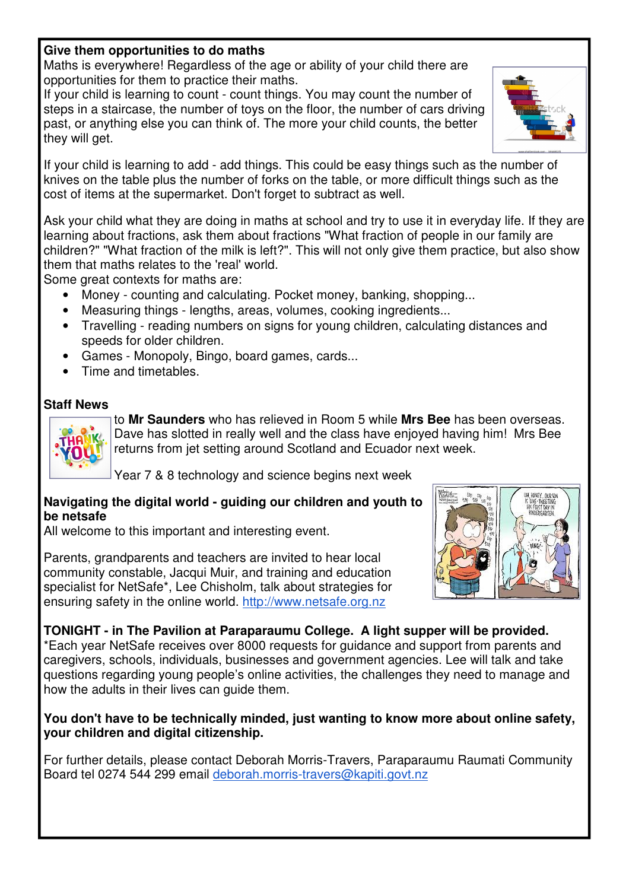### **Give them opportunities to do maths**

Maths is everywhere! Regardless of the age or ability of your child there are opportunities for them to practice their maths.

If your child is learning to count - count things. You may count the number of steps in a staircase, the number of toys on the floor, the number of cars driving past, or anything else you can think of. The more your child counts, the better they will get.



Ask your child what they are doing in maths at school and try to use it in everyday life. If they are learning about fractions, ask them about fractions "What fraction of people in our family are children?" "What fraction of the milk is left?". This will not only give them practice, but also show them that maths relates to the 'real' world.

Some great contexts for maths are:

- Money counting and calculating. Pocket money, banking, shopping...
- Measuring things lengths, areas, volumes, cooking ingredients...
- Travelling reading numbers on signs for young children, calculating distances and speeds for older children.
- Games Monopoly, Bingo, board games, cards...
- Time and timetables.

### **Staff News**



to **Mr Saunders** who has relieved in Room 5 while **Mrs Bee** has been overseas. Dave has slotted in really well and the class have enjoyed having him! Mrs Bee returns from jet setting around Scotland and Ecuador next week.

Year 7 & 8 technology and science begins next week

#### **Navigating the digital world - guiding our children and youth to be netsafe**

All welcome to this important and interesting event.

Parents, grandparents and teachers are invited to hear local community constable, Jacqui Muir, and training and education specialist for NetSafe\*, Lee Chisholm, talk about strategies for ensuring safety in the online world. http://www.netsafe.org.nz



**TONIGHT - in The Pavilion at Paraparaumu College. A light supper will be provided.** \*Each year NetSafe receives over 8000 requests for guidance and support from parents and caregivers, schools, individuals, businesses and government agencies. Lee will talk and take questions regarding young people's online activities, the challenges they need to manage and how the adults in their lives can guide them.

### **You don't have to be technically minded, just wanting to know more about online safety, your children and digital citizenship.**

For further details, please contact Deborah Morris-Travers, Paraparaumu Raumati Community Board tel 0274 544 299 email deborah.morris-travers@kapiti.govt.nz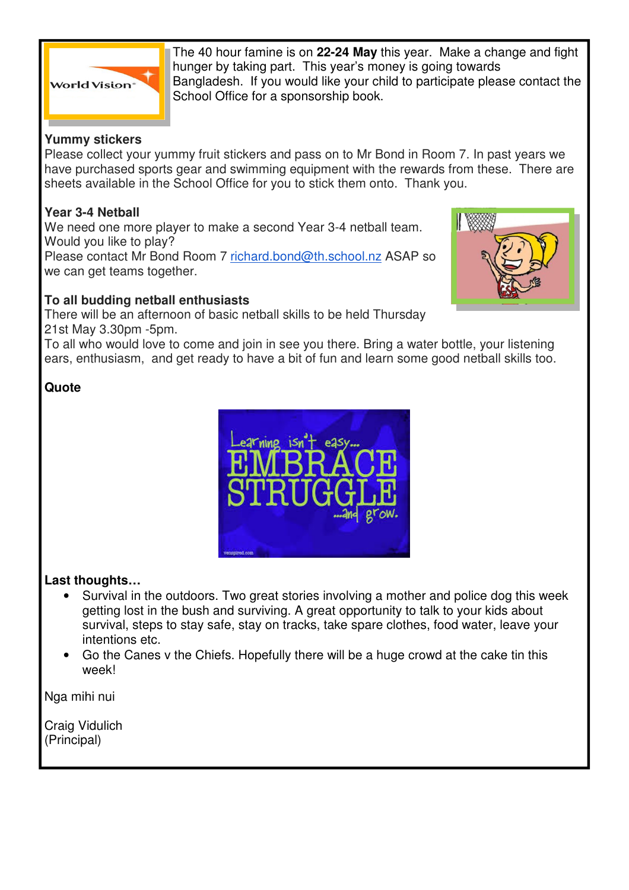

The 40 hour famine is on **22-24 May** this year. Make a change and fight hunger by taking part. This year's money is going towards Bangladesh. If you would like your child to participate please contact the School Office for a sponsorship book.

### **Yummy stickers**

Please collect your yummy fruit stickers and pass on to Mr Bond in Room 7. In past years we have purchased sports gear and swimming equipment with the rewards from these. There are sheets available in the School Office for you to stick them onto. Thank you.

### **Year 3-4 Netball**

We need one more player to make a second Year 3-4 netball team. Would you like to play? Please contact Mr Bond Room 7 richard.bond@th.school.nz ASAP so we can get teams together.

### **To all budding netball enthusiasts**

There will be an afternoon of basic netball skills to be held Thursday 21st May 3.30pm -5pm.

To all who would love to come and join in see you there. Bring a water bottle, your listening ears, enthusiasm, and get ready to have a bit of fun and learn some good netball skills too.

### **Quote**



### **Last thoughts…**

- Survival in the outdoors. Two great stories involving a mother and police dog this week getting lost in the bush and surviving. A great opportunity to talk to your kids about survival, steps to stay safe, stay on tracks, take spare clothes, food water, leave your intentions etc.
- Go the Canes v the Chiefs. Hopefully there will be a huge crowd at the cake tin this week!

Nga mihi nui

Craig Vidulich (Principal)

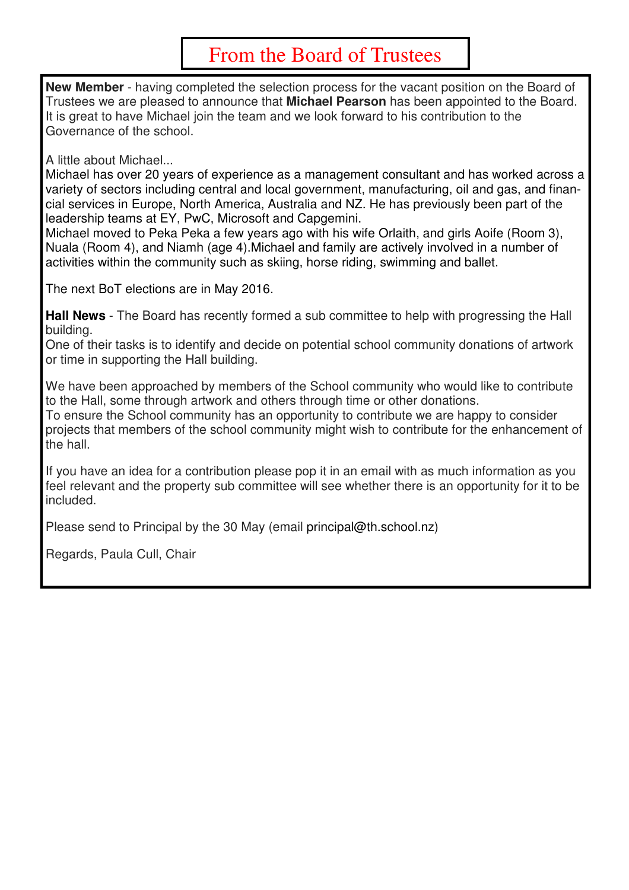## From the Board of Trustees

**New Member** - having completed the selection process for the vacant position on the Board of Trustees we are pleased to announce that **Michael Pearson** has been appointed to the Board. It is great to have Michael join the team and we look forward to his contribution to the Governance of the school.

A little about Michael...

Michael has over 20 years of experience as a management consultant and has worked across a variety of sectors including central and local government, manufacturing, oil and gas, and financial services in Europe, North America, Australia and NZ. He has previously been part of the leadership teams at EY, PwC, Microsoft and Capgemini.

Michael moved to Peka Peka a few years ago with his wife Orlaith, and girls Aoife (Room 3), Nuala (Room 4), and Niamh (age 4).Michael and family are actively involved in a number of activities within the community such as skiing, horse riding, swimming and ballet.

The next BoT elections are in May 2016.

**Hall News** - The Board has recently formed a sub committee to help with progressing the Hall building.

One of their tasks is to identify and decide on potential school community donations of artwork or time in supporting the Hall building.

We have been approached by members of the School community who would like to contribute to the Hall, some through artwork and others through time or other donations.

To ensure the School community has an opportunity to contribute we are happy to consider projects that members of the school community might wish to contribute for the enhancement of the hall.

If you have an idea for a contribution please pop it in an email with as much information as you feel relevant and the property sub committee will see whether there is an opportunity for it to be included.

Please send to Principal by the 30 May (email principal@th.school.nz)

Regards, Paula Cull, Chair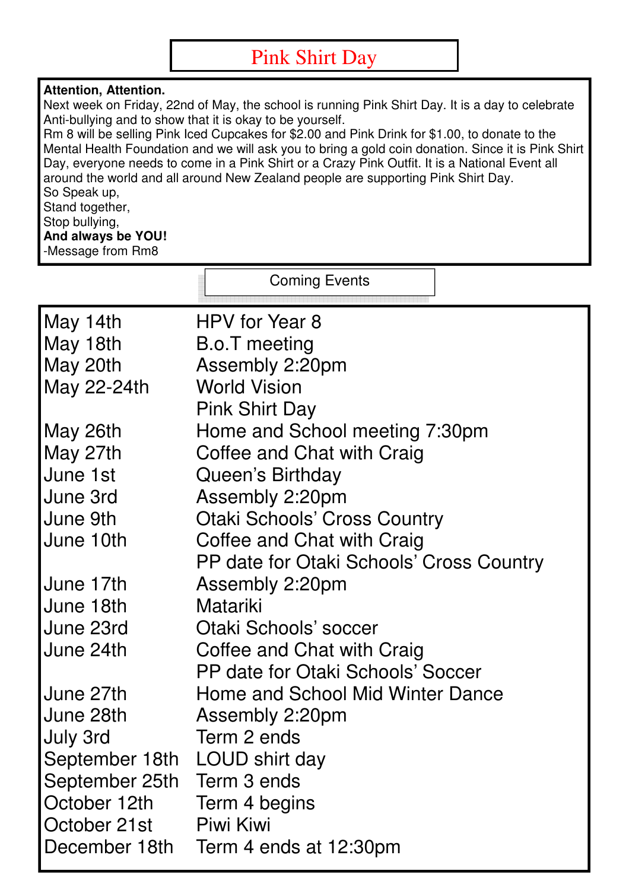# Pink Shirt Day

### **Attention, Attention.**

Next week on Friday, 22nd of May, the school is running Pink Shirt Day. It is a day to celebrate Anti-bullying and to show that it is okay to be yourself.

Rm 8 will be selling Pink Iced Cupcakes for \$2.00 and Pink Drink for \$1.00, to donate to the Mental Health Foundation and we will ask you to bring a gold coin donation. Since it is Pink Shirt Day, everyone needs to come in a Pink Shirt or a Crazy Pink Outfit. It is a National Event all around the world and all around New Zealand people are supporting Pink Shirt Day. So Speak up, Stand together, Stop bullying,

**And always be YOU!** -Message from Rm8

|                                                 | <b>Coming Events</b>                     |
|-------------------------------------------------|------------------------------------------|
| May 14th                                        | HPV for Year 8                           |
| May 18th                                        | B.o.T meeting                            |
| May 20th                                        | Assembly 2:20pm                          |
| May 22-24th                                     | <b>World Vision</b>                      |
|                                                 | <b>Pink Shirt Day</b>                    |
| May 26th                                        | Home and School meeting 7:30pm           |
| May 27th                                        | Coffee and Chat with Craig               |
| June 1st                                        | Queen's Birthday                         |
| June 3rd                                        | Assembly 2:20pm                          |
| June 9th                                        | <b>Otaki Schools' Cross Country</b>      |
| June 10th                                       | Coffee and Chat with Craig               |
|                                                 | PP date for Otaki Schools' Cross Country |
| June 17th                                       | Assembly 2:20pm                          |
| June 18th                                       | Matariki                                 |
| June 23rd                                       | Otaki Schools' soccer                    |
| June 24th                                       | Coffee and Chat with Craig               |
|                                                 | PP date for Otaki Schools' Soccer        |
| June 27th                                       | Home and School Mid Winter Dance         |
| June 28th                                       | Assembly 2:20pm<br>Term 2 ends           |
| <b>July 3rd</b>                                 |                                          |
| September 18th LOUD shirt day<br>September 25th | Term 3 ends                              |
| October 12th                                    | Term 4 begins                            |
| October 21st                                    | <b>Piwi Kiwi</b>                         |
|                                                 | December 18th Term 4 ends at 12:30pm     |
|                                                 |                                          |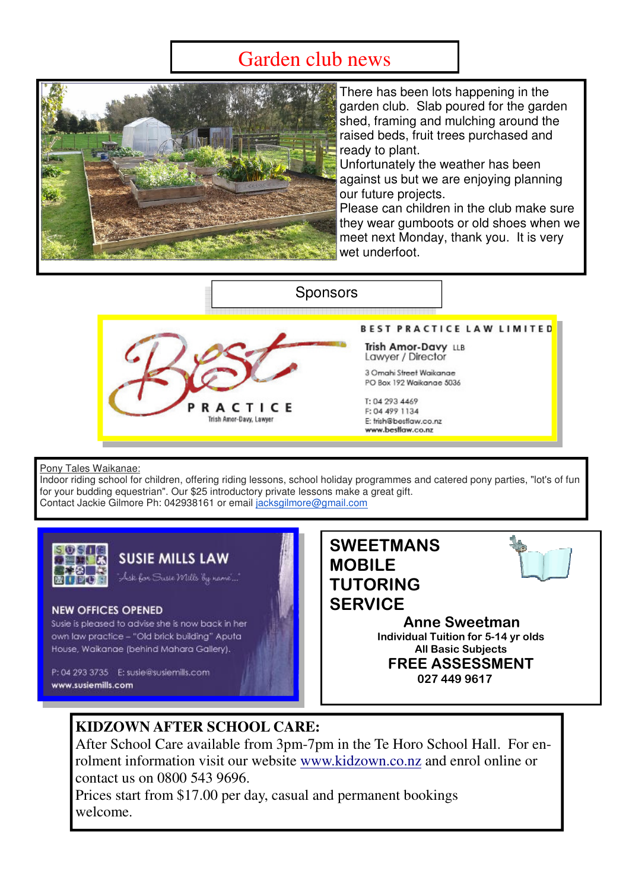# Garden club news



There has been lots happening in the garden club. Slab poured for the garden shed, framing and mulching around the raised beds, fruit trees purchased and ready to plant.

Unfortunately the weather has been against us but we are enjoying planning our future projects.

Please can children in the club make sure they wear gumboots or old shoes when we meet next Monday, thank you. It is very wet underfoot.

### **Sponsors**



**BEST PRACTICE LAW LIMITED** 

Trish Amor-Davy LLB Lawyer / Director

3 Omahi Street Waikanae PO Box 192 Waikanae 5036

T: 04 293 4469 F: 04 499 1134 E: trish@bestlaw.co.nz www.bestlaw.co.nz

#### Pony Tales Waikanae:

Indoor riding school for children, offering riding lessons, school holiday programmes and catered pony parties, "lot's of fun for your budding equestrian". Our \$25 introductory private lessons make a great gift. Contact Jackie Gilmore Ph: 042938161 or email jacksgilmore@gmail.com



### **SUSIE MILLS LAW**

.<br>Ask for Susie Mills by name

#### **NEW OFFICES OPENED**

Susie is pleased to advise she is now back in her own law practice - "Old brick building" Aputa House, Waikanae (behind Mahara Gallery).

P: 04 293 3735 E: susie@susiemills.com www.susiemills.com



027 449 9617

### **KIDZOWN AFTER SCHOOL CARE:**

After School Care available from 3pm-7pm in the Te Horo School Hall. For enrolment information visit our website www.kidzown.co.nz and enrol online or contact us on 0800 543 9696.

Prices start from \$17.00 per day, casual and permanent bookings welcome.